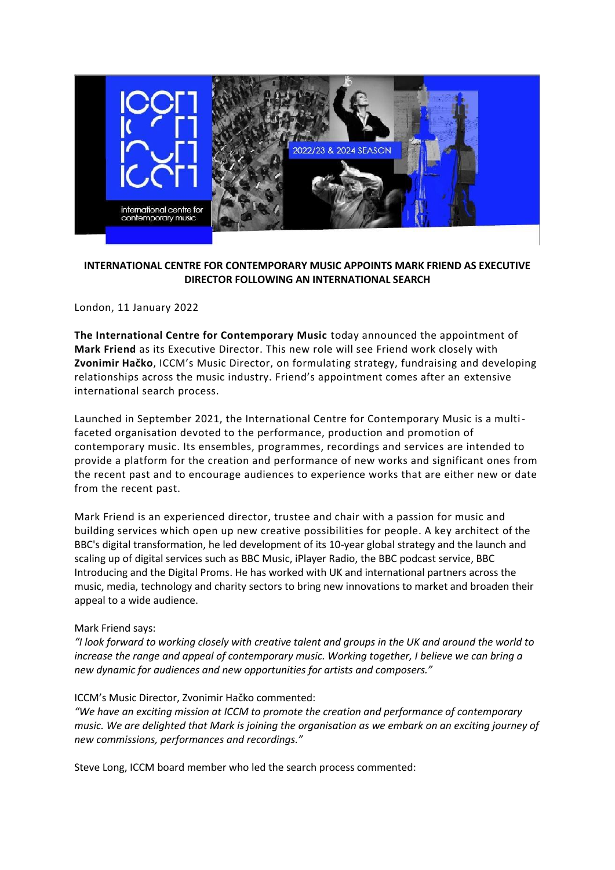

## **INTERNATIONAL CENTRE FOR CONTEMPORARY MUSIC APPOINTS MARK FRIEND AS EXECUTIVE DIRECTOR FOLLOWING AN INTERNATIONAL SEARCH**

London, 11 January 2022

**The International Centre for Contemporary Music** today announced the appointment of **Mark Friend** as its Executive Director. This new role will see Friend work closely with **Zvonimir Hačko**, ICCM's Music Director, on formulating strategy, fundraising and developing relationships across the music industry. Friend's appointment comes after an extensive international search process.

Launched in September 2021, the International Centre for Contemporary Music is a multifaceted organisation devoted to the performance, production and promotion of contemporary music. Its ensembles, programmes, recordings and services are intended to provide a platform for the creation and performance of new works and significant ones from the recent past and to encourage audiences to experience works that are either new or date from the recent past.

Mark Friend is an experienced director, trustee and chair with a passion for music and building services which open up new creative possibilities for people. A key architect of the BBC's digital transformation, he led development of its 10-year global strategy and the launch and scaling up of digital services such as BBC Music, iPlayer Radio, the BBC podcast service, BBC Introducing and the Digital Proms. He has worked with UK and international partners across the music, media, technology and charity sectors to bring new innovations to market and broaden their appeal to a wide audience.

### Mark Friend says:

*"I look forward to working closely with creative talent and groups in the UK and around the world to increase the range and appeal of contemporary music. Working together, I believe we can bring a new dynamic for audiences and new opportunities for artists and composers."*

### ICCM's Music Director, Zvonimir Hačko commented:

*"We have an exciting mission at ICCM to promote the creation and performance of contemporary music. We are delighted that Mark is joining the organisation as we embark on an exciting journey of new commissions, performances and recordings."*

Steve Long, ICCM board member who led the search process commented: